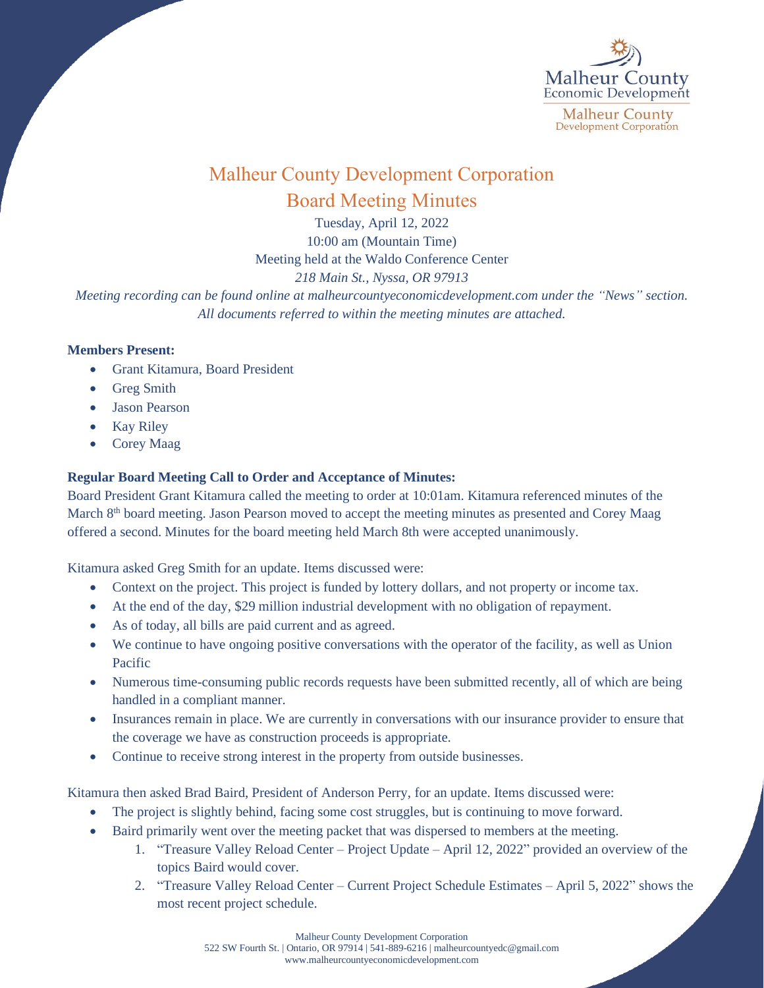

## Malheur County Development Corporation Board Meeting Minutes

Tuesday, April 12, 2022 10:00 am (Mountain Time) Meeting held at the Waldo Conference Center *218 Main St., Nyssa, OR 97913*

*Meeting recording can be found online at malheurcountyeconomicdevelopment.com under the "News" section. All documents referred to within the meeting minutes are attached.*

## **Members Present:**

- Grant Kitamura, Board President
- Greg Smith
- Jason Pearson
- Kay Riley
- Corey Maag

## **Regular Board Meeting Call to Order and Acceptance of Minutes:**

Board President Grant Kitamura called the meeting to order at 10:01am. Kitamura referenced minutes of the March 8<sup>th</sup> board meeting. Jason Pearson moved to accept the meeting minutes as presented and Corey Maag offered a second. Minutes for the board meeting held March 8th were accepted unanimously.

Kitamura asked Greg Smith for an update. Items discussed were:

- Context on the project. This project is funded by lottery dollars, and not property or income tax.
- At the end of the day, \$29 million industrial development with no obligation of repayment.
- As of today, all bills are paid current and as agreed.
- We continue to have ongoing positive conversations with the operator of the facility, as well as Union Pacific
- Numerous time-consuming public records requests have been submitted recently, all of which are being handled in a compliant manner.
- Insurances remain in place. We are currently in conversations with our insurance provider to ensure that the coverage we have as construction proceeds is appropriate.
- Continue to receive strong interest in the property from outside businesses.

Kitamura then asked Brad Baird, President of Anderson Perry, for an update. Items discussed were:

- The project is slightly behind, facing some cost struggles, but is continuing to move forward.
- Baird primarily went over the meeting packet that was dispersed to members at the meeting.
	- 1. "Treasure Valley Reload Center Project Update April 12, 2022" provided an overview of the topics Baird would cover.
	- 2. "Treasure Valley Reload Center Current Project Schedule Estimates April 5, 2022" shows the most recent project schedule.

Malheur County Development Corporation 522 SW Fourth St. | Ontario, OR 97914 | 541-889-6216 [| malheurcountyedc@gmail.com](mailto:malheurcountyedc@gmail.com) [www.malheurcountyeconomicdevelopment.com](http://www.malheurcountyeconomicdevelopment.com/)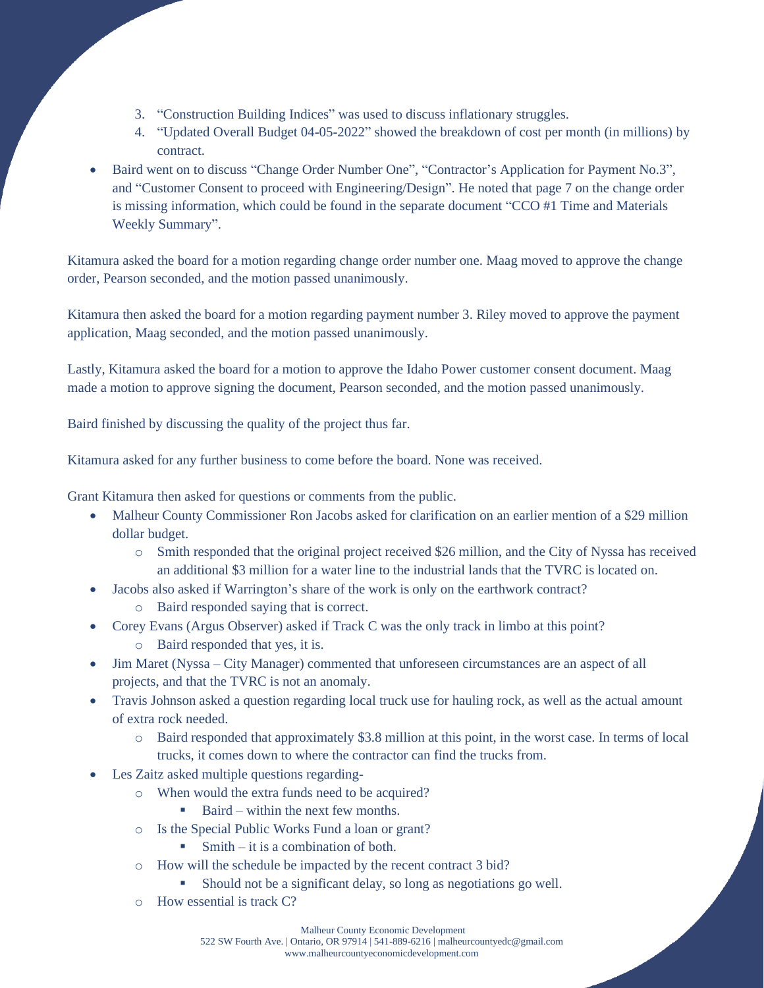- 3. "Construction Building Indices" was used to discuss inflationary struggles.
- 4. "Updated Overall Budget 04-05-2022" showed the breakdown of cost per month (in millions) by contract.
- Baird went on to discuss "Change Order Number One", "Contractor's Application for Payment No.3", and "Customer Consent to proceed with Engineering/Design". He noted that page 7 on the change order is missing information, which could be found in the separate document "CCO #1 Time and Materials Weekly Summary".

Kitamura asked the board for a motion regarding change order number one. Maag moved to approve the change order, Pearson seconded, and the motion passed unanimously.

Kitamura then asked the board for a motion regarding payment number 3. Riley moved to approve the payment application, Maag seconded, and the motion passed unanimously.

Lastly, Kitamura asked the board for a motion to approve the Idaho Power customer consent document. Maag made a motion to approve signing the document, Pearson seconded, and the motion passed unanimously.

Baird finished by discussing the quality of the project thus far.

Kitamura asked for any further business to come before the board. None was received.

Grant Kitamura then asked for questions or comments from the public.

- Malheur County Commissioner Ron Jacobs asked for clarification on an earlier mention of a \$29 million dollar budget.
	- o Smith responded that the original project received \$26 million, and the City of Nyssa has received an additional \$3 million for a water line to the industrial lands that the TVRC is located on.
- Jacobs also asked if Warrington's share of the work is only on the earthwork contract?
	- o Baird responded saying that is correct.
- Corey Evans (Argus Observer) asked if Track C was the only track in limbo at this point?
	- o Baird responded that yes, it is.
- Jim Maret (Nyssa City Manager) commented that unforeseen circumstances are an aspect of all projects, and that the TVRC is not an anomaly.
- Travis Johnson asked a question regarding local truck use for hauling rock, as well as the actual amount of extra rock needed.
	- Baird responded that approximately \$3.8 million at this point, in the worst case. In terms of local trucks, it comes down to where the contractor can find the trucks from.
- Les Zaitz asked multiple questions regarding
	- o When would the extra funds need to be acquired?
		- Baird within the next few months.
	- o Is the Special Public Works Fund a loan or grant?
		- $\blacksquare$  Smith it is a combination of both.
	- o How will the schedule be impacted by the recent contract 3 bid?
		- Should not be a significant delay, so long as negotiations go well.
	- o How essential is track C?

Malheur County Economic Development

522 SW Fourth Ave. | Ontario, OR 97914 | 541-889-6216 [| malheurcountyedc@gmail.com](mailto:malheurcountyedc@gmail.com) www.malheurcountyeconomicdevelopment.com